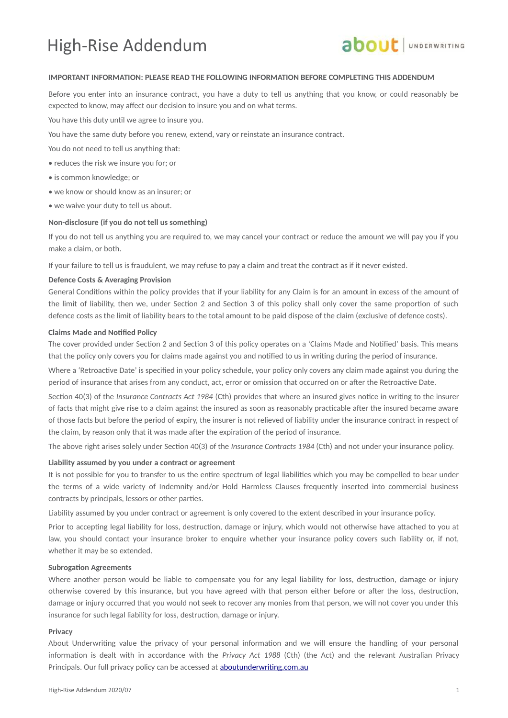## High-Rise Addendum



### **IMPORTANT INFORMATION: PLEASE READ THE FOLLOWING INFORMATION BEFORE COMPLETING THIS ADDENDUM**

Before you enter into an insurance contract, you have a duty to tell us anything that you know, or could reasonably be expected to know, may affect our decision to insure you and on what terms.

You have this duty until we agree to insure you.

You have the same duty before you renew, extend, vary or reinstate an insurance contract.

- You do not need to tell us anything that:
- reduces the risk we insure you for; or
- is common knowledge; or
- we know or should know as an insurer; or
- we waive your duty to tell us about.

#### **Non-disclosure (if you do not tell us something)**

If you do not tell us anything you are required to, we may cancel your contract or reduce the amount we will pay you if you make a claim, or both.

If your failure to tell us is fraudulent, we may refuse to pay a claim and treat the contract as if it never existed.

### **Defence Costs & Averaging Provision**

General Conditions within the policy provides that if your liability for any Claim is for an amount in excess of the amount of the limit of liability, then we, under Section 2 and Section 3 of this policy shall only cover the same proportion of such defence costs as the limit of liability bears to the total amount to be paid dispose of the claim (exclusive of defence costs).

### **Claims Made and Notified Policy**

The cover provided under Section 2 and Section 3 of this policy operates on a 'Claims Made and Notified' basis. This means that the policy only covers you for claims made against you and notified to us in writing during the period of insurance.

Where a 'Retroactive Date' is specified in your policy schedule, your policy only covers any claim made against you during the period of insurance that arises from any conduct, act, error or omission that occurred on or after the Retroactive Date.

Section 40(3) of the *Insurance Contracts Act 1984* (Cth) provides that where an insured gives notice in writing to the insurer of facts that might give rise to a claim against the insured as soon as reasonably practicable after the insured became aware of those facts but before the period of expiry, the insurer is not relieved of liability under the insurance contract in respect of the claim, by reason only that it was made after the expiration of the period of insurance.

The above right arises solely under Section 40(3) of the *Insurance Contracts 1984* (Cth) and not under your insurance policy.

### **Liability assumed by you under a contract or agreement**

It is not possible for you to transfer to us the entire spectrum of legal liabilities which you may be compelled to bear under the terms of a wide variety of Indemnity and/or Hold Harmless Clauses frequently inserted into commercial business contracts by principals, lessors or other parties.

Liability assumed by you under contract or agreement is only covered to the extent described in your insurance policy.

Prior to accepting legal liability for loss, destruction, damage or injury, which would not otherwise have attached to you at law, you should contact your insurance broker to enquire whether your insurance policy covers such liability or, if not, whether it may be so extended.

### **Subrogation Agreements**

Where another person would be liable to compensate you for any legal liability for loss, destruction, damage or injury otherwise covered by this insurance, but you have agreed with that person either before or after the loss, destruction, damage or injury occurred that you would not seek to recover any monies from that person, we will not cover you under this insurance for such legal liability for loss, destruction, damage or injury.

#### **Privacy**

About Underwriting value the privacy of your personal information and we will ensure the handling of your personal information is dealt with in accordance with the *Privacy Act 1988* (Cth) (the Act) and the relevant Australian Privacy Principals. Our full privacy policy can be accessed at **[aboutunderwriting.com.au](http://www.aboutunderwriting.com.au/)**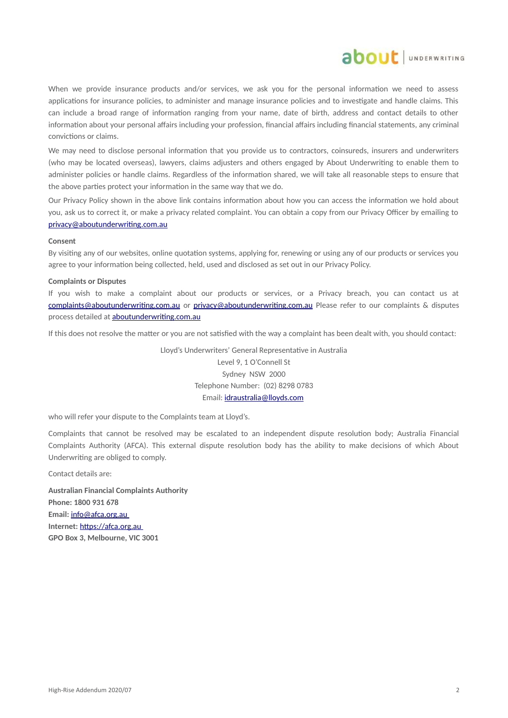

When we provide insurance products and/or services, we ask you for the personal information we need to assess applications for insurance policies, to administer and manage insurance policies and to investigate and handle claims. This can include a broad range of information ranging from your name, date of birth, address and contact details to other information about your personal affairs including your profession, financial affairs including financial statements, any criminal convictions or claims.

We may need to disclose personal information that you provide us to contractors, coinsureds, insurers and underwriters (who may be located overseas), lawyers, claims adjusters and others engaged by About Underwriting to enable them to administer policies or handle claims. Regardless of the information shared, we will take all reasonable steps to ensure that the above parties protect your information in the same way that we do.

Our Privacy Policy shown in the above link contains information about how you can access the information we hold about you, ask us to correct it, or make a privacy related complaint. You can obtain a copy from our Privacy Officer by emailing to [privacy@aboutunderwriting.com.au](mailto:privacy@aboutunderwriting.com.au)

#### **Consent**

By visiting any of our websites, online quotation systems, applying for, renewing or using any of our products or services you agree to your information being collected, held, used and disclosed as set out in our Privacy Policy.

#### **Complaints or Disputes**

If you wish to make a complaint about our products or services, or a Privacy breach, you can contact us at [complaints@aboutunderwriting.com.au](mailto:complaints@aboutunderwriting.com.au) or [privacy@aboutunderwriting.com.au](mailto:privacy@aboutunderwriting.com.au) Please refer to our complaints & disputes process detailed at [aboutunderwriting.com.au](http://www.aboutunderwriting.com.au/)

If this does not resolve the matter or you are not satisfied with the way a complaint has been dealt with, you should contact:

Lloyd's Underwriters' General Representative in Australia Level 9, 1 O'Connell St Sydney NSW 2000 Telephone Number: (02) 8298 0783 Email: [idraustralia@lloyds.com](mailto:idraustralia@lloyds.com)

who will refer your dispute to the Complaints team at Lloyd's.

Complaints that cannot be resolved may be escalated to an independent dispute resolution body; Australia Financial Complaints Authority (AFCA). This external dispute resolution body has the ability to make decisions of which About Underwriting are obliged to comply.

Contact details are:

**Australian Financial Complaints Authority Phone: 1800 931 678 Email:** [info@ afca .org.au](mailto:info@afca.org.au) **Internet:** [https://afca.org.au](https://afca.org.au/) **GPO Box 3, Melbourne, VIC 3001**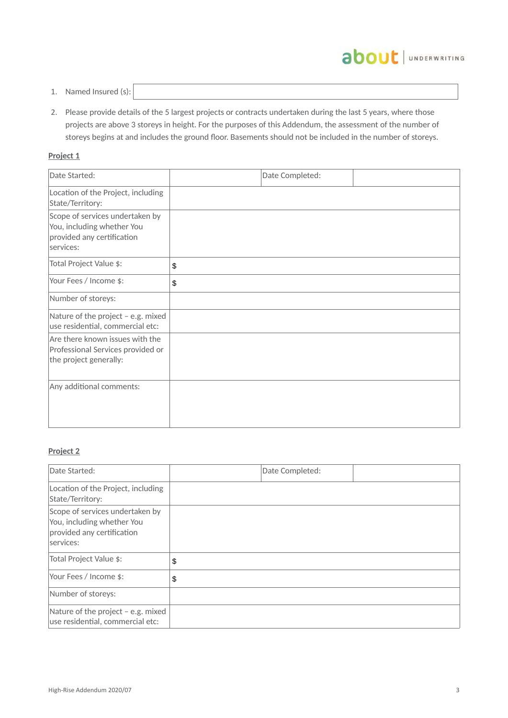

- 1. Named Insured (s):
- 2. Please provide details of the 5 largest projects or contracts undertaken during the last 5 years, where those projects are above 3 storeys in height. For the purposes of this Addendum, the assessment of the number of storeys begins at and includes the ground floor. Basements should not be included in the number of storeys.

## **Project 1**

| Date Started:                                                                                            | Date Completed: |  |
|----------------------------------------------------------------------------------------------------------|-----------------|--|
| Location of the Project, including<br>State/Territory:                                                   |                 |  |
| Scope of services undertaken by<br>You, including whether You<br>provided any certification<br>services: |                 |  |
| Total Project Value \$:                                                                                  | \$              |  |
| Your Fees / Income \$:                                                                                   | \$              |  |
| Number of storeys:                                                                                       |                 |  |
| Nature of the project - e.g. mixed<br>use residential, commercial etc:                                   |                 |  |
| Are there known issues with the<br>Professional Services provided or<br>the project generally:           |                 |  |
| Any additional comments:                                                                                 |                 |  |

## **Project 2**

| Date Started:                                                                                            | Date Completed: |  |
|----------------------------------------------------------------------------------------------------------|-----------------|--|
| Location of the Project, including<br>State/Territory:                                                   |                 |  |
| Scope of services undertaken by<br>You, including whether You<br>provided any certification<br>services: |                 |  |
| Total Project Value \$:                                                                                  | \$              |  |
| Your Fees / Income \$:                                                                                   | \$              |  |
| Number of storeys:                                                                                       |                 |  |
| Nature of the project - e.g. mixed<br>use residential, commercial etc:                                   |                 |  |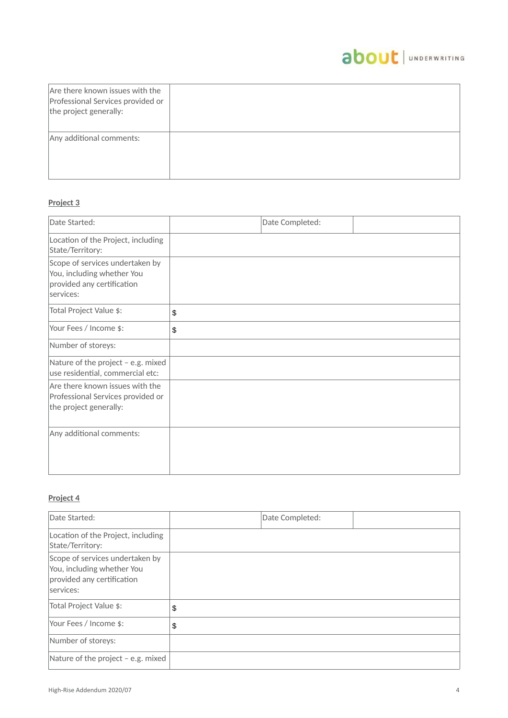## about | UNDERWRITING

| Are there known issues with the<br>Professional Services provided or<br>the project generally: |  |
|------------------------------------------------------------------------------------------------|--|
| Any additional comments:                                                                       |  |

## **Project 3**

| Date Started:                                                                                            | Date Completed: |  |
|----------------------------------------------------------------------------------------------------------|-----------------|--|
| Location of the Project, including<br>State/Territory:                                                   |                 |  |
| Scope of services undertaken by<br>You, including whether You<br>provided any certification<br>services: |                 |  |
| Total Project Value \$:                                                                                  | \$              |  |
| Your Fees / Income \$:                                                                                   | \$              |  |
| Number of storeys:                                                                                       |                 |  |
| Nature of the project - e.g. mixed<br>use residential, commercial etc:                                   |                 |  |
| Are there known issues with the<br>Professional Services provided or<br>the project generally:           |                 |  |
| Any additional comments:                                                                                 |                 |  |

## **Project 4**

| Date Started:                                                                                            | Date Completed: |  |
|----------------------------------------------------------------------------------------------------------|-----------------|--|
| Location of the Project, including<br>State/Territory:                                                   |                 |  |
| Scope of services undertaken by<br>You, including whether You<br>provided any certification<br>services: |                 |  |
| Total Project Value \$:                                                                                  | \$              |  |
| Your Fees / Income \$:                                                                                   | \$              |  |
| Number of storeys:                                                                                       |                 |  |
| Nature of the project - e.g. mixed                                                                       |                 |  |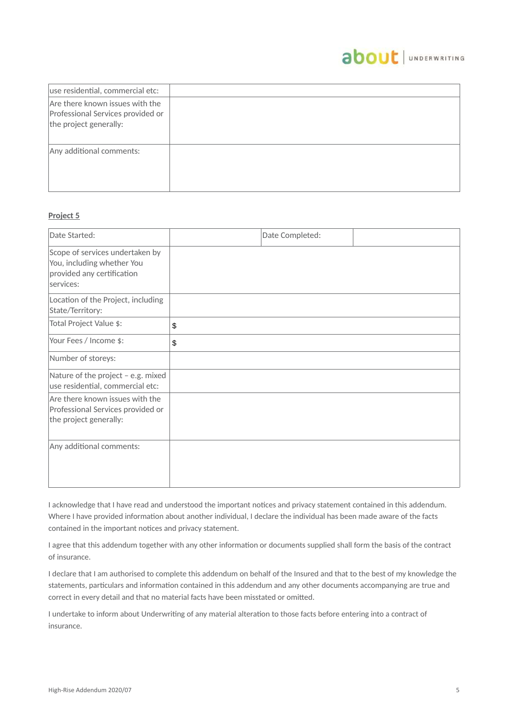## about JUNDERWRITING

| use residential, commercial etc:                                                               |  |
|------------------------------------------------------------------------------------------------|--|
| Are there known issues with the<br>Professional Services provided or<br>the project generally: |  |
| Any additional comments:                                                                       |  |

## **Project 5**

| Date Started:                                                                                            | Date Completed: |  |
|----------------------------------------------------------------------------------------------------------|-----------------|--|
| Scope of services undertaken by<br>You, including whether You<br>provided any certification<br>services: |                 |  |
| Location of the Project, including<br>State/Territory:                                                   |                 |  |
| Total Project Value \$:                                                                                  | \$              |  |
| Your Fees / Income \$:                                                                                   | \$              |  |
| Number of storeys:                                                                                       |                 |  |
| Nature of the project - e.g. mixed<br>use residential, commercial etc:                                   |                 |  |
| Are there known issues with the<br>Professional Services provided or<br>the project generally:           |                 |  |
| Any additional comments:                                                                                 |                 |  |

I acknowledge that I have read and understood the important notices and privacy statement contained in this addendum. Where I have provided information about another individual, I declare the individual has been made aware of the facts contained in the important notices and privacy statement.

I agree that this addendum together with any other information or documents supplied shall form the basis of the contract of insurance.

I declare that I am authorised to complete this addendum on behalf of the Insured and that to the best of my knowledge the statements, particulars and information contained in this addendum and any other documents accompanying are true and correct in every detail and that no material facts have been misstated or omitted.

I undertake to inform about Underwriting of any material alteration to those facts before entering into a contract of insurance.